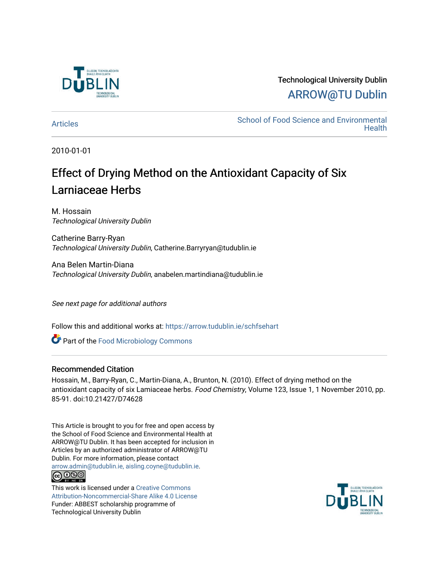

# Technological University Dublin [ARROW@TU Dublin](https://arrow.tudublin.ie/)

[Articles](https://arrow.tudublin.ie/schfsehart) **School of Food Science and Environmental Health** 

2010-01-01

# Effect of Drying Method on the Antioxidant Capacity of Six Larniaceae Herbs

M. Hossain Technological University Dublin

Catherine Barry-Ryan Technological University Dublin, Catherine.Barryryan@tudublin.ie

Ana Belen Martin-Diana Technological University Dublin, anabelen.martindiana@tudublin.ie

See next page for additional authors

Follow this and additional works at: [https://arrow.tudublin.ie/schfsehart](https://arrow.tudublin.ie/schfsehart?utm_source=arrow.tudublin.ie%2Fschfsehart%2F75&utm_medium=PDF&utm_campaign=PDFCoverPages) 

**Part of the [Food Microbiology Commons](http://network.bepress.com/hgg/discipline/86?utm_source=arrow.tudublin.ie%2Fschfsehart%2F75&utm_medium=PDF&utm_campaign=PDFCoverPages)** 

## Recommended Citation

Hossain, M., Barry-Ryan, C., Martin-Diana, A., Brunton, N. (2010). Effect of drying method on the antioxidant capacity of six Lamiaceae herbs. Food Chemistry, Volume 123, Issue 1, 1 November 2010, pp. 85-91. doi:10.21427/D74628

This Article is brought to you for free and open access by the School of Food Science and Environmental Health at ARROW@TU Dublin. It has been accepted for inclusion in Articles by an authorized administrator of ARROW@TU Dublin. For more information, please contact [arrow.admin@tudublin.ie, aisling.coyne@tudublin.ie](mailto:arrow.admin@tudublin.ie,%20aisling.coyne@tudublin.ie). <u>@000</u>

This work is licensed under a [Creative Commons](http://creativecommons.org/licenses/by-nc-sa/4.0/) [Attribution-Noncommercial-Share Alike 4.0 License](http://creativecommons.org/licenses/by-nc-sa/4.0/) Funder: ABBEST scholarship programme of Technological University Dublin

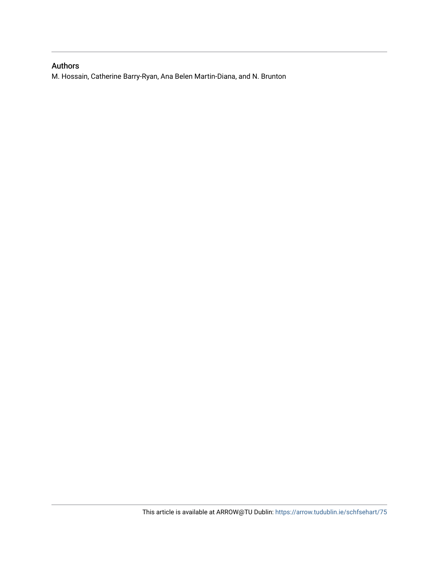# Authors

M. Hossain, Catherine Barry-Ryan, Ana Belen Martin-Diana, and N. Brunton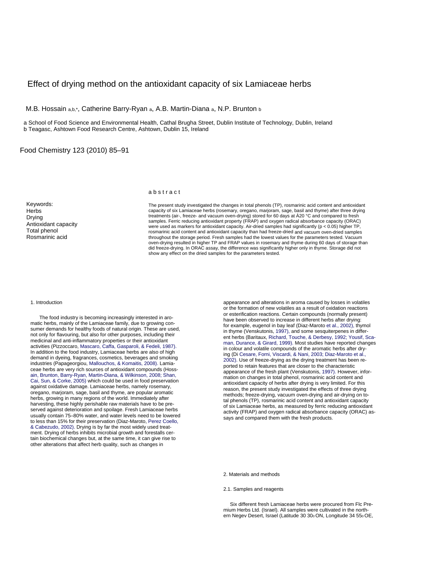### Effect of drying method on the antioxidant capacity of six Lamiaceae herbs

M.B. Hossain a,b,\*, Catherine Barry-Ryan a, A.B. Martin-Diana a, N.P. Brunton b

a School of Food Science and Environmental Health, Cathal Brugha Street, Dublin Institute of Technology, Dublin, Ireland b Teagasc, Ashtown Food Research Centre, Ashtown, Dublin 15, Ireland

Food Chemistry 123 (2010) 85–91

#### a b s t r a c t

samples. Ferric reducing antioxidant property (FRAP) and oxygen radical absorbance capacity (ORAC) The present study investigated the changes in total phenols (TP), rosmarinic acid content and antioxidant capacity of six Lamiaceae herbs (rosemary, oregano, marjoram, sage, basil and thyme) after three drying treatments (air-, freeze- and vacuum oven-drying) stored for 60 days at A20 °C and compared to fresh were used as markers for antioxidant capacity. Air-dried samples ha d significantly (p < 0.05) higher TP, rosmarinic acid content and antioxidant capacity than had freeze-dried and vacuum oven-dried samples throughout the storage period. Fresh samples had the lowest values for the parameters tested. Vacuum oven-drying resulted in higher TP and FRAP values in rosemary and thyme during 60 days of storage than did freeze-drying. In ORAC assay, the difference was significantly higher only in thyme. Storage did not show any effect on the dried samples for the parameters tested.

#### 1. Introduction

**Herbs** Drying

Keywords:

A ntioxidant capacity Total phenol Rosmarinic acid

served against deterioration and spoilage. Fresh Lamiaceae herbs usually contain 75–80% water, and water levels need to be lowered to less than 15% for their preservation (Diaz-Maroto, Perez Coello, & Cabezudo, 2002). Drying is by far the most widely used treatment. Drying of herbs inhibits microbial growth and forestalls certain biochemical changes but, at the same time, it can give rise to other alterations that affect herb quality, such as changes in The food industry is becoming increasingly interested in aromatic herbs, mainly of the Lamiaceae family, due to growing consumer demands for healthy foods of natural origin. These are used, not only for flavouring, but also for other purposes, including their medicinal and anti-inflammatory properties or their antioxidant activities (Pizzoccaro, Mascaro, Caffa, Gasparoli, & Fedeli, 1987). In addition to the food industry, Lamiaceae herbs are also of high demand in dyeing, fragrances, cosmetics, beverages and smoking industries (Papageorgiou, Mallouchos, & Komaitis, 2008). Lamiaceae herbs are very rich sources of antioxidant compounds (Hossain, Brunton, Barry-Ryan, Martin-Diana, & Wilkinson, 2008; Shan, Cai, Sun, & Corke, 2005) which could be used in food preservation against oxidative damage. Lamiaceae herbs, namely rosemary, oregano, marjoram, sage, basil and thyme, are popular aromatic herbs, growing in many regions of the world. Immediately after harvesting, these highly perishable raw materials have to be pre-

in thyme (Venskutonis, 1997), and some sesquiterpenes in differman, Durance, & Girard, 1999). Most studies have reported changes antioxidant capacity of herbs after drying is very limited. For this reason, the present study investigated the effects of three drying methods; freeze-drying, vacuum oven-drying and air-drying on total phenols (TP), rosmarinic acid content and antioxidant capacity of six Lamiaceae herbs, as measured by ferric reducing antioxidant activity (FRAP) and oxygen radical absorbance capacity (ORAC) assays and compared them with the fresh products. appearance and alterations in aroma caused by losses in volatiles or the formation of new volatiles as a result of oxidation reactions or esterification reactions. Certain compounds (normally present) have been observed to increase in different herbs after drying: for example, eugenol in bay leaf (Diaz-Maroto et al., 2002), thymol ent herbs (Baritaux, Richard, Touche, & Derbesy, 1992; Yousif, Scain colour and volatile compounds of the aromatic herbs after drying (Di Cesare, Forni, Viscardi, & Nani, 2003; Diaz-Maroto et al., 2002). Use of freeze-drying as the drying treatment has been reported to retain features that are closer to the characteristic appearance of the fresh plant (Venskutonis, 1997). However, information on changes in total phenol, rosmarinic acid content and

- 2. Materials and methods
- 2.1. Samples and reagents

 Six different fresh Lamiaceae herbs were procured from Flc Premium Herbs Ltd. (Israel). All samples were cultivated in the northern Negev Desert, Israel (Latitude 30 300 ON, Longitude 34 550 OE,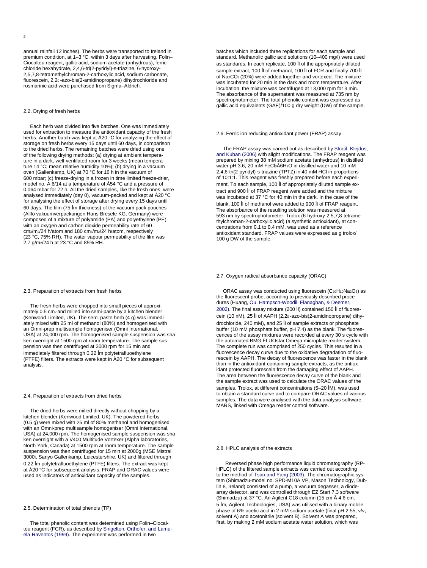annual rainfall 12 inches). The herbs were transported to Ireland in premium condition, at 1–3 °C, within 3 days after harvesting. Folin– Ciocalteu reagent, gallic acid, sodium acetate (anhydrous), ferric chloride hexahydrate, 2,4,6-tri(2-pyridyl)-s-triazine, 6-hydroxy-2,5,7,8-tetramethylchroman-2-carboxylic acid, sodium carbonate,

### 2.2. Drying of fresh herbs

used for extraction to measure the antioxidant capacity of the fresh 0.064 mbar for 72 h. All the dried samples, like the fresh ones, were analysed immediately (day 0), vacuum-packed and kept at Å20 °C 60 days. The film (75 lm thickness) of the vacuum pack pouches (Allfo vakuumverpackungen Hans Bresele KG, Germany) were composed of a mixture of polyamide (PA) and polyethylene (PE) with an oxygen and carbon dioxide permeability rate of 60 cm3/m2/24 h/atom and 180 cm3/m2/24 h/atom, respectively (23 °C, 75% RH). The water vapour permeability of the film was 2.7 g/m2/24 h at 23 °C and 85% RH. Each herb was divided into five batches. One was immediately herbs. Another batch was kept at À20 °C for analyzing the effect of storage on fresh herbs every 15 days until 60 days, in comparison to the dried herbs. The remaining batches were dried using one of the following drying methods: (a) drying at ambient temperature in a dark, well-ventilated room for 3 weeks (mean temperature 14 °C; mean relative humidity 10%); (b) drying in a vacuum oven (Gallenkamp, UK) at 70 °C for 16 h in the vacuum of 600 mbar; (c) freeze-drying in a frozen in time limited freeze-drier, model no. A 6/14 at a temperature of A54 °C and a pressure of for analysing the effect of storage after drying every 15 days until

#### 2.3. Preparation of extracts from fresh herbs

mately 0.5 cm2 and milled into semi-paste by a kitchen blender (Kenwood Limited, UK). The semi-paste herb (4 g) was immedian Omni-prep multisample homogeniser (Omni International, USA) at 24,000 rpm. The homogenised sample suspension was shaken overnight at 1500 rpm at room temperature. The sample suspension was then centrifuged at 3000 rpm for 15 min and immediately filtered through 0.22 lm polytetrafluoethylene (PTFE) filters. The extracts were kept in Å20 °C for subsequent The fresh herbs were chopped into small pieces of approxiately mixed with 25 ml of methanol (80%) and homogenised with analysis.

#### 2.4. Preparation of extracts from dried herbs

USA) at 24,000 rpm. The homogenised sample suspension was sha-North York, Canada) at 1500 rpm at room temperature. The sample suspension was then centrifuged for 15 min at 2000g (MSE Mistral 3000i, Sanyo Gallenkamp, Leicestershire, UK) and filtered through 0.22 lm polytetrafluoethylene (PTFE) filters. The extract was kept at Å20 °C for subsequent analysis. FRAP and ORAC values were used as indicators of antioxidant capacity of the samples. The dried herbs were milled directly without chopping by a kitchen blender (Kenwood Limited, UK). The powdered herbs (0.5 g) were mixed with 25 ml of 80% methanol and homogenised with an Omni-prep multisample homogeniser (Omni International, ken overnight with a V400 Multitude Vortexer (Alpha laboratories,

2.5. Determination of total phenols (TP)

 The total phenolic content was determined using Folin–Ciocalteu reagent (FCR), as described by Singelton, Orthofer, and Lamuela-Raventos (1999). The experiment was performed in two

mane) dihydrochloride and<br>
fluorescein, 2,20 -azo-bis(2-amidinopropane) dihydrochloride and<br>
rosmarinic acid were purchased from Sigma–Aldrich.<br>
incubation the mixture was incubation the mixture was contributed for 2000 rp of Na2CO3 (20%) were added together and vortexed. The mixture was incubated for 20 min in the dark and room temperature. After batches which included three replications for each sample and standard. Methanolic gallic acid solutions (10–400 mg/l) were used as standards. In each replicate, 100 ll of the appropriately diluted sample extract, 100 ll of methanol, 100 ll of FCR and finally 700 ll incubation, the mixture was centrifuged at 13,000 rpm for 3 min. The absorbance of the supernatant was measured at 735 nm by spectrophotometer. The total phenolic content was expressed as gallic acid equivalents (GAE)/100 g dry weight (DW) of the sample.

#### 2.6. Ferric ion reducing antioxidant power (FRAP) assay

The FRAP assay was carried out as described by Stratil, Klejdus, and Kuban (2006) with slight modifications. The FRAP reagent was blank, 100 ll of methanol were added to 900 ll of FRAP reagent. The absorbance of the resulting solution was measured at 593 nm by spectrophotometer. Trolox (6-hydroxy-2,5,7,8-tetramethylchroman-2-carboxylic acid) (a synthetic antioxidant), at concentrations from 0.1 to 0.4 mM, was used as a reference antioxidant standard. FRAP values were expressed as g trolox/ prepared by mixing 38 mM sodium acetate (anhydrous) in distilled water pH 3.6, 20 mM FeCl3Á6H2O in distilled water and 10 mM 2,4,6-tri(2-pyridyl)-s-triazine (TPTZ) in 40 mM HCl in proportions of 10:1:1. This reagent was freshly prepared before each experiment. To each sample, 100 ll of appropriately diluted sample extract and 900 ll of FRAP reagent were added and the mixture was incubated at 37 °C for 40 min in the dark. In the case of the 100 g DW of the sample.

#### 2.7. Oxygen radical absorbance capacity (ORAC)

cences of the assay mixtures were recorded at every 30 s cycle with idant protected fluorescein from the damaging effect of AAPH. The area between the fluorescence decay curve of the blank and the sample extract was used to calculate the ORAC values of the samples. Trolox, at different concentrations (5–20 lM), was used to obtain a standard curve and to compare ORAC values of various samples. The data were analysed with the data analysis software, MARS, linked with Omega reader control software. ORAC assay was conducted using fluorescein (C20H10Na2O5) as the fluorescent probe, according to previously described procedures (Huang, Ou, Hampsch-Woodil, Flanaghan, & Deemer, 2002). The final assay mixture (200 ll) contained 150 ll of fluorescein (10 nM), 25 ll of AAPH (2,20 -azo-bis(2-amidinopropane) dihydrochloride, 240 mM), and 25 ll of sample extracts or phosphate buffer (10 mM phosphate buffer, pH 7.4) as the blank. The fluoresthe automated BMG FLUOstar Omega microplate reader system. The complete run was comprised of 250 cycles. This resulted in a fluorescence decay curve due to the oxidative degradation of fluorescein by AAPH. The decay of fluorescence was faster in the blank than in the antioxidant-containing sample extracts, as the antiox-

#### 2.8. HPLC analysis of the extracts

tem (Shimadzu-model no. SPD-M10A VP, Mason Technology, Dubarray detector, and was controlled through EZ Start 7.3 software (Shimadzu) at 37 °C. An Agilent C18 column (15 cm 4.6 cm, 5 lm, Agilent Technologies, USA) was utilised with a binary mobile phase of 6% acetic acid in 2 mM sodium acetate (final pH 2.55, v/v, solvent A) and acetonitrile (solvent B). Solvent A was prepared, first, by making 2 mM sodium acetate water solution, which was Reversed phase high performance liquid chromatography (RP-HPLC) of the filtered sample extracts was carried out according to the method of Tsao and Yang (2003). The chromatographic syslin 8, Ireland) consisted of a pump, a vacuum degasser, a diode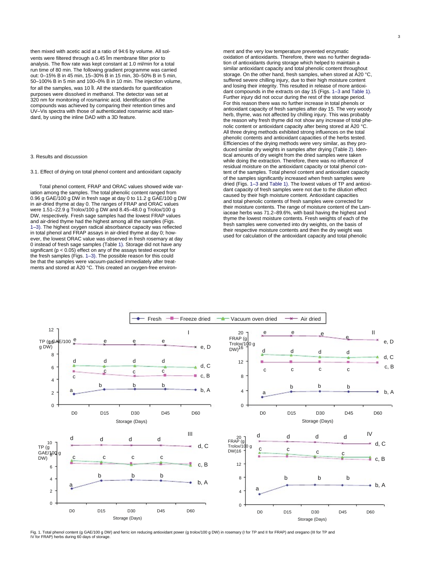for all the samples, was 10 ll. All the standards for quantification purposes were dissolved in methanol. The detector was set at 320 nm for monitoring of rosmarinic acid. Identification of the compounds was achieved by comparing their retention times and UV–Vis spectra with those of authenticated rosmarinic acid standard, by using the inline DAD with a 3D feature. then mixed with acetic acid at a ratio of 94:6 by volume. All solvents were filtered through a 0.45 lm membrane filter prior to analysis. The flow rate was kept constant at 1.0 ml/min for a total run time of 80 min. The following gradient programme was carried out: 0–15% B in 45 min, 15–30% B in 15 min, 30–50% B in 5 min, 50–100% B in 5 min and 100–0% B in 10 min. The injection volume,

#### 3. Results and discussion

#### 3.1. Effect of drying on total phenol content and antioxidant capacity

ever, the lowest ORAC value was observed in fresh rosemary at day 0 instead of fresh sage samples (Table 1). Storage did not have any significant ( $p < 0.05$ ) effect on any of the assays tested except for the fresh samples (Figs. 1–3). The possible reason for this could be that the samples were vacuum-packed immediately after treatments and stored at À20 °C. This created an oxygen-free environ- Total phenol content, FRAP and ORAC values showed wide variation among the samples. The total phenolic content ranged from 0.96 g GAE/100 g DW in fresh sage at day 0 to 11.2 g GAE/100 g DW in air-dried thyme at day 0. The ranges of FRAP and ORAC values were 1.51–22.9 g Trolox/100 g DW and 8.45–48.0 g Trolox/100 g DW, respectively. Fresh sage samples had the lowest FRAP values and air-dried thyme had the highest among all the samples (Figs. 1–3). The highest oxygen radical absorbance capacity was reflected in total phenol and FRAP assays in air-dried thyme at day 0; how-

the reason why fresh thyme did not show any increase of total phement and the very low temperature prevented enzymatic oxidation of antioxidants. Therefore, there was no further degradation of antioxidants during storage which helped to maintain a similar antioxidant capacity and total phenolic content throughout storage. On the other hand, fresh samples, when stored at  $\text{A}20 \text{ }^{\circ}\text{C}$ . suffered severe chilling injury, due to their high moisture content and losing their integrity. This resulted in release of more antioxidant compounds in the extracts on day 15 (Figs. 1–3 and Table 1). Further injury did not occur during the rest of the storage period. For this reason there was no further increase in total phenols or antioxidant capacity of fresh samples after day 15. The very woody herb, thyme, was not affected by chilling injury. This was probably nolic content or antioxidant capacity after being stored at À20 °C. All three drying methods exhibited strong influences on the total phenolic contents and antioxidant capacities of the herbs tested. Efficiencies of the drying methods were very similar, as they produced similar dry weights in samples after drying (Table 2). Identical amounts of dry weight from the dried samples were taken while doing the extraction. Therefore, there was no influence of residual moisture on the antioxidant capacity or total phenol contheir moisture contents. The range of moisture content of the Lamiaceae herbs was 71.2–89.6%, with basil having the highest and thyme the lowest moisture contents. Fresh weights of each of the fresh samples were converted into dry weights, on the basis of their respective moisture contents and then the dry weight was used for calculation of the antioxidant capacity and total phenolic tent of the samples. Total phenol content and antioxidant capacity of the samples significantly increased when fresh samples were dried (Figs. 1–3 and Table 1). The lowest values of TP and antioxidant capacity of fresh samples were not due to the dilution effect caused by their high moisture content. Antioxidant capacities and total phenolic contents of fresh samples were corrected for



Fig. 1. Total phenol content (g GAE/100 g DW) and ferric ion reducing antioxidant power (g trolox/100 g DW) in rosemary (I for TP and II for FRAP) and oregano (III for TP and IV for FRAP) herbs during 60 days of storage.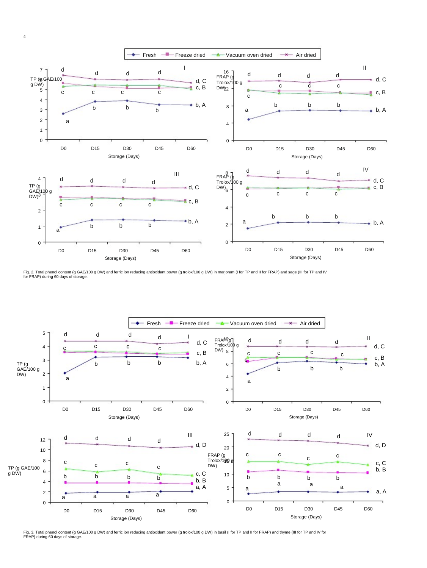

Fig. 2. Total phenol content (g GAE/100 g DW) and ferric ion reducing antioxidant power (g trolox/100 g DW) in marjoram (I for TP and II for FRAP) and sage (III for TP and IV for FRAP) during 60 days of storage.



Fig. 3. Total phenol content (g GAE/100 g DW) and ferric ion reducing antioxidant power (g trolox/100 g DW) in basil (I for TP and II for FRAP) and thyme (III for TP and IV for FRAP) during 60 days of storage.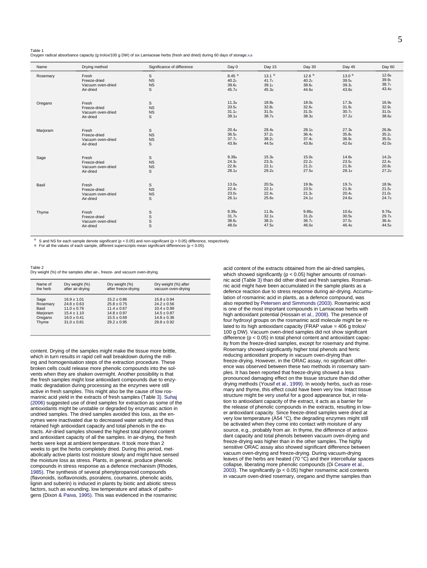Tahle 1

Oxygen radical absorbance capacity (g trolox/100 g DW) of six Lamiaceae herbs (fresh and dried) during 60 days of storage.A.B

| Name     | Drving method                                           | Significance of difference  | Day 0                                        | Day 15                                       | Day 30                                                   | Day 45                                                   | Day 60                                                   |
|----------|---------------------------------------------------------|-----------------------------|----------------------------------------------|----------------------------------------------|----------------------------------------------------------|----------------------------------------------------------|----------------------------------------------------------|
| Rosemary | Fresh                                                   | S                           | $8.45$ <sup>a</sup>                          | 13.1 <sup>b</sup>                            | 12.6 <sup>b</sup>                                        | 13.0 <sup>b</sup>                                        | 12.6 <sub>b</sub>                                        |
|          | Freeze-dried                                            | <b>NS</b>                   | 40.2 <sub>c</sub>                            | 41.7c                                        | 40.2 <sub>c</sub>                                        | 39.5c                                                    | 39.9c                                                    |
|          | Vacuum oven-dried                                       | <b>NS</b>                   | 39.6c                                        | 39.1c                                        | 38.6c                                                    | 39.3 <sub>c</sub>                                        | 38.7c                                                    |
|          | Air-dried                                               | S                           | 45.7 <sub>d</sub>                            | 45.3 <sub>d</sub>                            | 44.6d                                                    | 43.8 <sub>d</sub>                                        | 43.4d                                                    |
| Oregano  | Fresh                                                   | S                           | 11.3a                                        | 18.8b                                        | 18.0 <sub>b</sub>                                        | 17.3 <sub>b</sub>                                        | 16.9 <sub>b</sub>                                        |
|          | Freeze-dried                                            | <b>NS</b>                   | 33.5 <sub>c</sub>                            | 32.8 <sub>c</sub>                            | 32.6c                                                    | 31.9c                                                    | 32.9c                                                    |
|          | Vacuum oven-dried                                       | <b>NS</b>                   | 31.1c                                        | 31.5c                                        | 31.0 <sub>c</sub>                                        | 30.7c                                                    | 31.0 <sub>c</sub>                                        |
|          | Air-dried                                               | S                           | 39.1 <sub>d</sub>                            | 38.7d                                        | 38.3 <sub>d</sub>                                        | 37.2 <sub>d</sub>                                        | 38.6d                                                    |
| Marjoram | Fresh                                                   | S                           | 20.4a                                        | 28.4b                                        | 28.1 <sub>b</sub>                                        | 27.3 <sub>b</sub>                                        | 26.8 <sub>b</sub>                                        |
|          | Freeze-dried                                            | <b>NS</b>                   | 36.5c                                        | 37.2c                                        | 36.4 <sub>c</sub>                                        | 35.8 <sub>c</sub>                                        | 35.2c                                                    |
|          | Vacuum oven-dried                                       | <b>NS</b>                   | 37.7c                                        | 38.2c                                        | 37.4 <sub>c</sub>                                        | 36.9 <sub>c</sub>                                        | 35.5c                                                    |
|          | Air-dried                                               | S                           | 43.9d                                        | 44.5d                                        | 43.8 <sub>d</sub>                                        | 42.6d                                                    | 42.0 <sub>d</sub>                                        |
| Sage     | Fresh                                                   | S                           | 9.39a                                        | 15.3 <sub>b</sub>                            | 15.0 <sub>b</sub>                                        | 14.6b                                                    | 14.2 <sub>b</sub>                                        |
|          | Freeze-dried                                            | <b>NS</b>                   | 24.3 <sub>c</sub>                            | 23.3c                                        | 22.2c                                                    | 23.5c                                                    | 22.4c                                                    |
|          | Vacuum oven-dried                                       | <b>NS</b>                   | 22.9 <sub>c</sub>                            | 22.1c                                        | 21.2c                                                    | 21.8 <sub>c</sub>                                        | 20.8c                                                    |
|          | Air-dried                                               | S                           | 28.1 <sub>d</sub>                            | 29.2 <sub>d</sub>                            | 27.5d                                                    | 28.1 <sub>d</sub>                                        | 27.2d                                                    |
| Basil    | Fresh                                                   | S                           | 13.0a                                        | 20.5 <sub>b</sub>                            | 19.9 <sub>b</sub>                                        | 19.7 <sub>b</sub>                                        | 18.9 <sub>b</sub>                                        |
|          | Freeze-dried                                            | <b>NS</b>                   | 22.4c                                        | 22.1c                                        | 23.5c                                                    | 21.8 <sub>c</sub>                                        | 21.5c                                                    |
|          | Vacuum oven-dried                                       | <b>NS</b>                   | 23.0 <sub>c</sub>                            | 22.4c                                        | 21.3c                                                    | 20.4 <sub>c</sub>                                        | 21.0 <sub>c</sub>                                        |
|          | Air-dried                                               | S                           | 26.1 <sub>d</sub>                            | 25.6 <sub>d</sub>                            | 24.1 <sub>d</sub>                                        | 24.6d                                                    | 24.7 <sub>d</sub>                                        |
| Thyme    | Fresh<br>Freeze-dried<br>Vacuum oven-dried<br>Air-dried | S<br>$\mathsf{s}$<br>s<br>s | 9.39a<br>31.7 <sub>b</sub><br>38.6c<br>48.0d | 11.9a<br>32.1 <sub>b</sub><br>38.2c<br>47.5d | 9.86a<br>31.2 <sub>b</sub><br>36.7c<br>46.0 <sub>d</sub> | 10.6a<br>30.5 <sub>b</sub><br>37.5c<br>46.4 <sub>d</sub> | 9.76a<br>29.7 <sub>b</sub><br>36.4 <sub>c</sub><br>44.5d |

S and NS for each sample denote significant ( $p < 0.05$ ) and non-significant ( $p > 0.05$ ) difference, respectively.<br>For all the values of each sample, different superscripts mean significant differences ( $p < 0.05$ ).

 $\overline{B}$ 

Tahle 2 Dry weight (%) of the samples after air-, freeze- and vacuum oven-drying

| Name of<br>the herb | Dry weight (%)<br>after air-drying | Dry weight (%)<br>after freeze-drying | Dry weight (%) after<br>vacuum oven-drying |
|---------------------|------------------------------------|---------------------------------------|--------------------------------------------|
| Sage                | $16.9 + 1.01$                      | $15.2 \pm 0.86$                       | $15.8 + 0.94$                              |
| Rosemary            | $24.8 \pm 0.63$                    | $25.8 \pm 0.75$                       | $24.2 + 0.56$                              |
| Basil               | $11.0 \pm 0.76$                    | $11.4 \pm 0.67$                       | $10.4 \pm 0.99$                            |
| Marjoram            | $15.4 \pm 1.10$                    | $14.8 \pm 0.97$                       | $14.5 \pm 0.87$                            |
| Oregano             | $16.0 \pm 0.41$                    | $15.5 \pm 0.69$                       | $14.8 \pm 0.36$                            |
| Thyme               | $31.0 \pm 0.81$                    | $29.2 + 0.95$                         | $29.8 + 0.92$                              |

content. Drying of the samples might make the tissue more brittle, which in turn results in rapid cell wall breakdown during the milling and homogenisation steps of the extraction procedure. These broken cells could release more phenolic compounds into the solvents when they are shaken overnight. Another possibility is that the fresh samples might lose antioxidant compounds due to enzymatic degradation during processing as the enzymes were still active in fresh samples. This might also be the cause of low rosmarinic acid yield in the extracts of fresh samples (Table 3). Suhaj (2006) suggested use of dried samples for extraction as some of the antioxidants might be unstable or degraded by enzymatic action in undried samples. The dried samples avoided this loss, as the enzymes were inactivated due to decreased water activity and thus retained high antioxidant capacity and total phenols in the extracts. Air-dried samples showed the highest total phenol content and antioxidant capacity of all the samples. In air-drying, the fresh herbs were kept at ambient temperature. It took more than 2 weeks to get the herbs completely dried. During this period, metabolically active plants lost moisture slowly and might have sensed the moisture loss as stress. Plants, in general, produce phenolic compounds in stress response as a defence mechanism (Rhodes) 1985). The synthesis of several phenylpropanoid compounds (flavonoids, isoflavonoids, psoralens, coumarins, phenolic acids, lignin and suberin) is induced in plants by biotic and abiotic stress factors, such as wounding, low temperature and attack of pathogens (Dixon & Paiva, 1995). This was evidenced in the rosmarinic

acid content of the extracts obtained from the air-dried samples, which showed significantly ( $p < 0.05$ ) higher amounts of rosmarinic acid (Table 3) than did other dried and fresh samples. Rosmarinic acid might have been accumulated in the sample plants as a defence reaction due to stress response during air-drying. Accumulation of rosmarinic acid in plants, as a defence compound, was also reported by Petersen and Simmonds (2003). Rosmarinic acid is one of the most important compounds in Lamiaceae herbs with high antioxidant potential (Hossain et al., 2008). The presence of four hydroxyl groups on the rosmarinic acid molecule might be related to its high antioxidant capacity (FRAP value = 406 g trolox/ 100 g DW). Vacuum oven-dried samples did not show significant difference ( $p < 0.05$ ) in total phenol content and antioxidant capacity from the freeze-dried samples, except for rosemary and thyme. Rosemary showed significantly higher total phenols and ferric reducing antioxidant property in vacuum oven-drying than freeze-drying. However, in the ORAC assay, no significant difference was observed between these two methods in rosemary samples. It has been reported that freeze-drying showed a less pronounced damaging effect on the tissue structure than did other drying methods (Yousif et al., 1999). In woody herbs, such as rosemary and thyme, this effect could have been very low. Intact tissue structure might be very useful for a good appearance but, in relation to antioxidant capacity of the extract, it acts as a barrier for the release of phenolic compounds in the extracts, resulting in lower antioxidant capacity. Since freeze-dried samples were dried at very low temperature (A54 °C), the degrading enzymes might still be activated when they come into contact with moisture of any source, e.g., probably from air. In thyme, the difference of antioxidant capacity and total phenols between vacuum oven-drying and freeze-drying was higher than in the other samples. The highly sensitive ORAC assay also showed significant difference between vacuum oven-drying and freeze-drying. During vacuum-drying leaves of the herbs are heated (70 °C) and their intercellular spaces collapse, liberating more phenolic compounds (Di Cesare et al., 2003). The significantly ( $p < 0.05$ ) higher rosmarinic acid contents in vacuum oven-dried rosemary, oregano and thyme samples than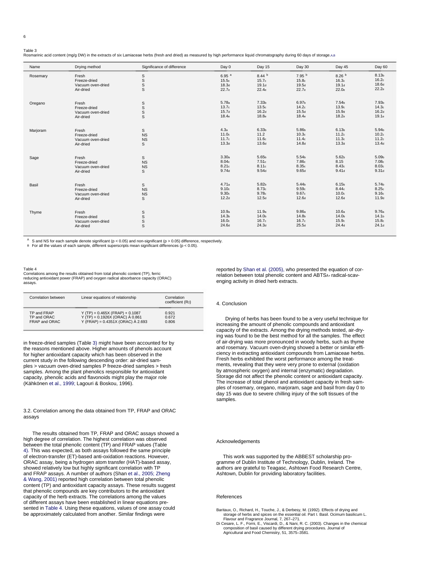### Table 3

Rosmarinic acid content (ma/a DW) in the extracts of six Lamiaceae herbs (fresh and dried) as measured by high performance liquid chromatography during 60 days of storage.A.B

| Name     | Drying method                  | Significance of difference | Day 0             | Day 15            | Day 30            | Day 45            | Day 60            |
|----------|--------------------------------|----------------------------|-------------------|-------------------|-------------------|-------------------|-------------------|
| Rosemary | Fresh                          | $\mathbb S$                | 6.95 <sup>a</sup> | $8.44^{b}$        | 7.95 <sup>b</sup> | 8.26 <sup>b</sup> | 8.13b             |
|          | Freeze-dried                   |                            | 15.5c             | 15.7 <sub>c</sub> | 15.8 <sub>c</sub> | 16.3c             | 16.2c             |
|          | Vacuum oven-dried              | $_{\rm S}^{\rm S}$         | 18.3 <sub>d</sub> | 19.1 <sub>d</sub> | 19.5d             | 19.1 <sub>d</sub> | 18.6 <sub>d</sub> |
|          | Air-dried                      | S                          | 22.7 <sub>e</sub> | 22.4e             | 22.7 <sub>e</sub> | 22.0 <sub>e</sub> | 22.2e             |
| Oregano  | Fresh                          | S                          | 5.78a             | 7.33 <sub>b</sub> | 6.97b             | 7.54b             | 7.93b             |
|          | Freeze-dried                   |                            | 13.7 <sub>c</sub> | 13.5c             | 14.2c             | 13.9 <sub>c</sub> | 14.3 <sub>c</sub> |
|          | Vacuum oven-dried              | $_{\rm S}^{\rm S}$         | 15.7 <sub>d</sub> | 16.2d             | 15.5d             | 15.9 <sub>d</sub> | 16.2d             |
|          | Air-dried                      | $\mathsf S$                | 18.4e             | 18.8e             | 18.4e             | 18.2e             | 19.1e             |
| Marjoram | Fresh                          | S                          | 4.3a              | 6.33 <sub>b</sub> | 5.86b             | 6.13 <sub>b</sub> | 5.94b             |
|          | Freeze-dried                   | <b>NS</b>                  | 11.0 <sub>c</sub> | 11.2              | 10.3 <sub>c</sub> | 11.2c             | 10.2 <sub>c</sub> |
|          | Vacuum oven-dried              | <b>NS</b>                  | 11.7 <sub>c</sub> | 11.6 <sub>c</sub> | 11.4 <sub>c</sub> | 11.3c             | 11.2c             |
|          | Air-dried                      | S                          | 13.3 <sub>d</sub> | 13.6d             | 14.8 <sub>d</sub> | 13.3 <sub>d</sub> | 13.4 <sub>d</sub> |
| Sage     | Fresh                          | $\mathsf{s}$               | 3.30a             | 5.65b             | 5.54b             | 5.62 <sub>b</sub> | 5.09 <sub>b</sub> |
|          | Freeze-dried                   | <b>NS</b>                  | 8.04c             | 7.51c             | 7.86c             | 8.15              | 7.08c             |
|          | Vacuum oven-dried              | <b>NS</b>                  | 8.21c             | 8.11c             | 8.35c             | 8.43c             | 8.03c             |
|          | Air-dried                      | $\mathsf S$                | 9.74d             | 9.54d             | 9.65d             | 9.41 <sub>d</sub> | 9.31 <sub>d</sub> |
| Basil    | Fresh                          | S                          | 4.71a             | 5.82b             | 5.44b             | 6.15b             | 5.74b             |
|          | Freeze-dried                   | <b>NS</b>                  | 9.10 <sub>c</sub> | 8.73c             | 9.59c             | 8.44c             | 8.25c             |
|          | Vacuum oven-dried              | <b>NS</b>                  | 9.30 <sub>c</sub> | 9.78c             | 9.67c             | 10.0 <sub>c</sub> | 9.16 <sub>c</sub> |
|          | Air-dried                      | S                          | 12.2d             | 12.5d             | 12.6 <sub>d</sub> | 12.6 <sub>d</sub> | 11.9 <sub>d</sub> |
|          |                                |                            | 10.9a             | 11.9a             | 9.86a             | 10.6a             | 9.76a             |
| Thyme    | Fresh                          | S                          | 14.3 <sub>b</sub> | 14.0 <sub>b</sub> | 14.8b             | 14.0 <sub>b</sub> | 14.1 <sub>b</sub> |
|          | Freeze-dried                   | $\mathbb S$                | 16.0 <sub>c</sub> | 16.7 <sub>c</sub> | 16.7c             | 15.9 <sub>c</sub> | 15.8 <sub>c</sub> |
|          | Vacuum oven-dried<br>Air-dried | $_{\rm S}^{\rm S}$         | 24.6 <sub>d</sub> | 24.3 <sub>d</sub> | 25.5d             | 24.4 <sub>d</sub> | 24.1 <sub>d</sub> |

 $\overline{A}$ <sup>A</sup> S and NS for each sample denote significant ( $p < 0.05$ ) and non-significant ( $p > 0.05$ ) difference, respectively.<br>
B For all the values of each sample, different superscripts mean significant differences ( $p < 0.05$ ).

#### Table 4

Correlations among the results obtained from total phenolic content (TP), ferric reducing antioxidant power (FRAP) and oxygen radical absorbance capacity (ORAC) assays

| Correlation between | Linear equations of relationship        | Correlation<br>coefficient (R <sub>2</sub> ) |
|---------------------|-----------------------------------------|----------------------------------------------|
| TP and FRAP         | $Y(TP) = 0.465X (FRAP) + 0.1087$        | 0.921                                        |
| TP and ORAC         | Y (TP) = $0.1926X$ (ORAC) $\AA$ 0.861   | 0.672                                        |
| FRAP and ORAC       | Y (FRAP) = $0.4351X$ (ORAC) $\AA$ 2.693 | 0.806                                        |

in freeze-dried samples (Table 3) might have been accounted for by the reasons mentioned above. Higher amounts of phenols account for higher antioxidant capacity which has been observed in the current study in the following descending order: air-dried samples > vacuum oven-dried samples P freeze-dried samples > fresh samples. Among the plant phenolics responsible for antioxidant capacity, phenolic acids and flavonoids might play the major role (Kähkönen et al., 1999; Lagouri & Boskou, 1996).

#### 3.2. Correlation among the data obtained from TP, FRAP and ORAC assays

The results obtained from TP, FRAP and ORAC assays showed a high degree of correlation. The highest correlation was observed between the total phenolic content (TP) and FRAP values (Table 4). This was expected, as both assays followed the same principle of electron-transfer (ET)-based anti-oxidation reactions. However, ORAC assay, being a hydrogen atom transfer (HAT)-based assay, showed relatively low but highly significant correlation with TP and FRAP assays. A number of authors (Shan et al., 2005; Zheng & Wang, 2001) reported high correlation between total phenolic content (TP) and antioxidant capacity assays. These results suggest that phenolic compounds are key contributors to the antioxidant capacity of the herb extracts. The correlations among the values of different assays have been established in linear equations presented in Table 4. Using these equations, values of one assay could be approximately calculated from another. Similar findings were

reported by Shan et al. (2005), who presented the equation of correlation between total phenolic content and ABTSA+ radical-scavenging activity in dried herb extracts.

#### 4 Conclusion

Drving of herbs has been found to be a very useful technique for increasing the amount of phenolic compounds and antioxidant capacity of the extracts. Among the drying methods tested, air-drying was found to be the best method for all the samples. The effect of air-drying was more pronounced in woody herbs, such as thyme and rosemary. Vacuum oven-drying showed a better or similar efficiency in extracting antioxidant compounds from Lamiaceae herbs. Fresh herbs exhibited the worst performance among the treatments, revealing that they were very prone to external (oxidation by atmospheric oxygen) and internal (enzymatic) degradation. Storage did not affect the phenolic content or antioxidant capacity. The increase of total phenol and antioxidant capacity in fresh samples of rosemary, oregano, marjoram, sage and basil from day 0 to day 15 was due to severe chilling injury of the soft tissues of the samples.

#### Acknowledgements

This work was supported by the ABBEST scholarship programme of Dublin Institute of Technology, Dublin, Ireland. The authors are grateful to Teagasc, Ashtown Food Research Centre, Ashtown, Dublin for providing laboratory facilities.

#### References

Baritaux, O., Richard, H., Touche, J., & Derbesy, M. (1992). Effects of drying and storage of herbs and spices on the essential oil. Part I. Basil. Ocimum basilicum L.<br>Flavour and Fragrance Journal, 7, 267–271.

Fravour and Fragrance Journal, r, 2or-2/1.<br>Di Cesare, L. F., Forni, E., Viscardi, D., & Nani, R. C. (2003). Changes in the chemical composition of basil caused by different drying procedures. Journal of Agricultural and Food Chemistry, 51, 3575-3581.